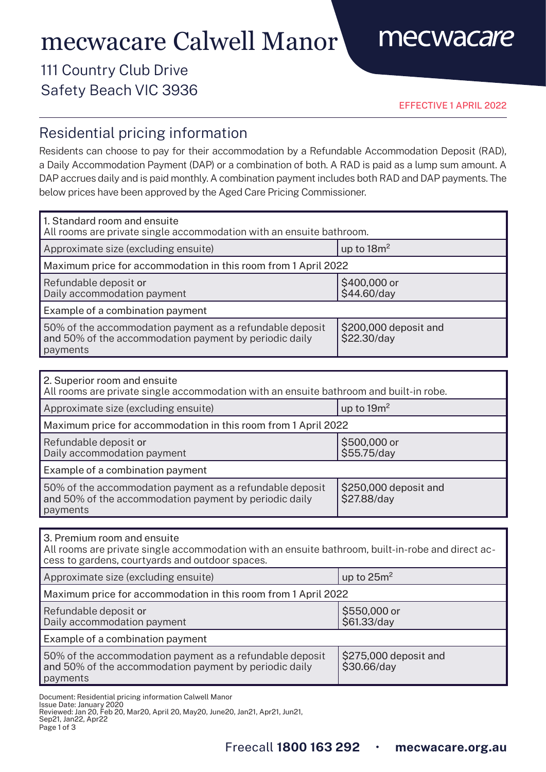# mecwacare Calwell Manor

## mecwacare

### 111 Country Club Drive Safety Beach VIC 3936

EFFECTIVE 1 APRIL 2022

### Residential pricing information

Residents can choose to pay for their accommodation by a Refundable Accommodation Deposit (RAD), a Daily Accommodation Payment (DAP) or a combination of both. A RAD is paid as a lump sum amount. A DAP accrues daily and is paid monthly. A combination payment includes both RAD and DAP payments. The below prices have been approved by the Aged Care Pricing Commissioner.

| 1. Standard room and ensuite<br>All rooms are private single accommodation with an ensuite bathroom.                           |                                      |  |
|--------------------------------------------------------------------------------------------------------------------------------|--------------------------------------|--|
| Approximate size (excluding ensuite)                                                                                           | up to $18m^2$                        |  |
| Maximum price for accommodation in this room from 1 April 2022                                                                 |                                      |  |
| Refundable deposit or<br>Daily accommodation payment                                                                           | \$400,000 or<br>\$44.60/day          |  |
| Example of a combination payment                                                                                               |                                      |  |
| 50% of the accommodation payment as a refundable deposit<br>and 50% of the accommodation payment by periodic daily<br>payments | \$200,000 deposit and<br>\$22.30/day |  |

| 2. Superior room and ensuite<br>All rooms are private single accommodation with an ensuite bathroom and built-in robe.         |                                      |  |
|--------------------------------------------------------------------------------------------------------------------------------|--------------------------------------|--|
| Approximate size (excluding ensuite)                                                                                           | up to $19m^2$                        |  |
| Maximum price for accommodation in this room from 1 April 2022                                                                 |                                      |  |
| Refundable deposit or<br>Daily accommodation payment                                                                           | \$500,000 or<br>\$55.75/day          |  |
| Example of a combination payment                                                                                               |                                      |  |
| 50% of the accommodation payment as a refundable deposit<br>and 50% of the accommodation payment by periodic daily<br>payments | \$250,000 deposit and<br>\$27.88/day |  |

3. Premium room and ensuite

All rooms are private single accommodation with an ensuite bathroom, built-in-robe and direct access to gardens, courtyards and outdoor spaces.

| Approximate size (excluding ensuite)                                                                                           | up to $25m^2$                        |  |
|--------------------------------------------------------------------------------------------------------------------------------|--------------------------------------|--|
| Maximum price for accommodation in this room from 1 April 2022                                                                 |                                      |  |
| Refundable deposit or<br>Daily accommodation payment                                                                           | \$550,000 or<br>\$61.33/day          |  |
| Example of a combination payment                                                                                               |                                      |  |
| 50% of the accommodation payment as a refundable deposit<br>and 50% of the accommodation payment by periodic daily<br>payments | \$275,000 deposit and<br>\$30.66/day |  |

Document: Residential pricing information Calwell Manor

Issue Date: January 2020 Reviewed: Jan 20, Feb 20, Mar20, April 20, May20, June20, Jan21, Apr21, Jun21, Sep21, Jan22, Apr22

Page 1 of 3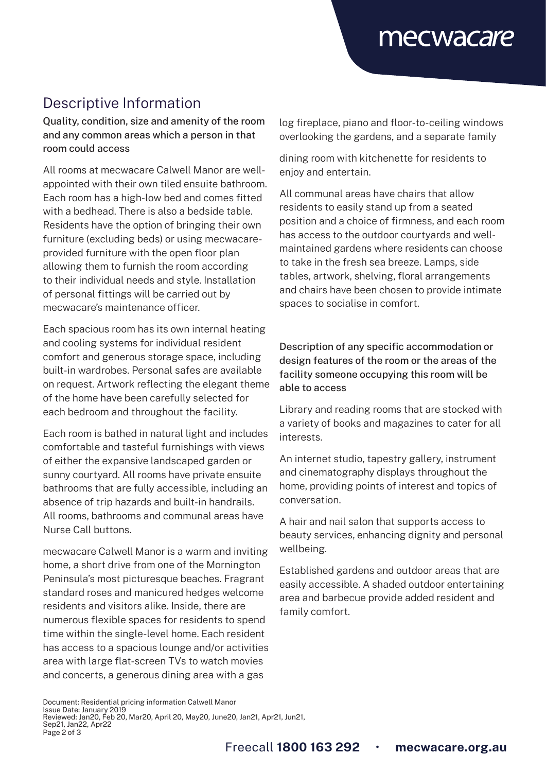## mecwacare

### Descriptive Information

Quality, condition, size and amenity of the room and any common areas which a person in that room could access

All rooms at mecwacare Calwell Manor are wellappointed with their own tiled ensuite bathroom. Each room has a high-low bed and comes fitted with a bedhead. There is also a bedside table. Residents have the option of bringing their own furniture (excluding beds) or using mecwacareprovided furniture with the open floor plan allowing them to furnish the room according to their individual needs and style. Installation of personal fittings will be carried out by mecwacare's maintenance officer.

Each spacious room has its own internal heating and cooling systems for individual resident comfort and generous storage space, including built-in wardrobes. Personal safes are available on request. Artwork reflecting the elegant theme of the home have been carefully selected for each bedroom and throughout the facility.

Each room is bathed in natural light and includes comfortable and tasteful furnishings with views of either the expansive landscaped garden or sunny courtyard. All rooms have private ensuite bathrooms that are fully accessible, including an absence of trip hazards and built-in handrails. All rooms, bathrooms and communal areas have Nurse Call buttons.

mecwacare Calwell Manor is a warm and inviting home, a short drive from one of the Mornington Peninsula's most picturesque beaches. Fragrant standard roses and manicured hedges welcome residents and visitors alike. Inside, there are numerous flexible spaces for residents to spend time within the single-level home. Each resident has access to a spacious lounge and/or activities area with large flat-screen TVs to watch movies and concerts, a generous dining area with a gas

log fireplace, piano and floor-to-ceiling windows overlooking the gardens, and a separate family

dining room with kitchenette for residents to enjoy and entertain.

All communal areas have chairs that allow residents to easily stand up from a seated position and a choice of firmness, and each room has access to the outdoor courtyards and wellmaintained gardens where residents can choose to take in the fresh sea breeze. Lamps, side tables, artwork, shelving, floral arrangements and chairs have been chosen to provide intimate spaces to socialise in comfort.

#### Description of any specific accommodation or design features of the room or the areas of the facility someone occupying this room will be able to access

Library and reading rooms that are stocked with a variety of books and magazines to cater for all interests.

An internet studio, tapestry gallery, instrument and cinematography displays throughout the home, providing points of interest and topics of conversation.

A hair and nail salon that supports access to beauty services, enhancing dignity and personal wellbeing.

Established gardens and outdoor areas that are easily accessible. A shaded outdoor entertaining area and barbecue provide added resident and family comfort.

Document: Residential pricing information Calwell Manor Issue Date: January 2019 Reviewed: Jan20, Feb 20, Mar20, April 20, May20, June20, Jan21, Apr21, Jun21, Sep21, Jan22, Apr22 Page 2 of 3